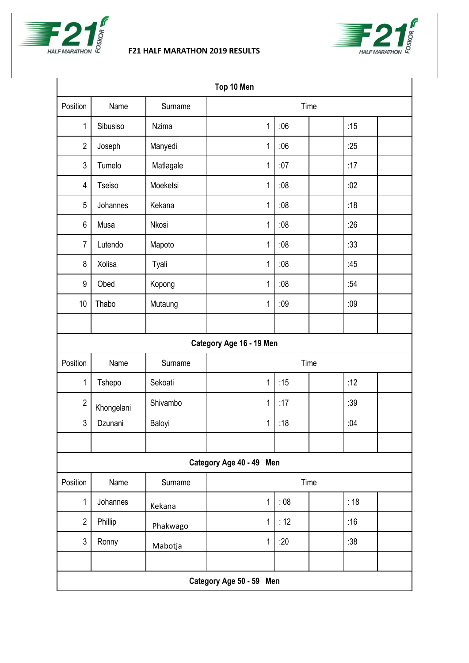

## **F21 HALF MARATHON 2019 RESULTS**



| Top 10 Men               |            |              |             |     |  |     |  |  |
|--------------------------|------------|--------------|-------------|-----|--|-----|--|--|
| Position                 | Name       | Surname      | Time        |     |  |     |  |  |
| 1                        | Sibusiso   | <b>Nzima</b> | 1           | :06 |  | :15 |  |  |
| $\overline{2}$           | Joseph     | Manyedi      | 1           | :06 |  | :25 |  |  |
| $\mathfrak{Z}$           | Tumelo     | Matlagale    | 1           | :07 |  | :17 |  |  |
| 4                        | Tseiso     | Moeketsi     | 1           | :08 |  | :02 |  |  |
| 5                        | Johannes   | Kekana       | 1           | :08 |  | :18 |  |  |
| $6\,$                    | Musa       | Nkosi        | 1           | :08 |  | :26 |  |  |
| 7                        | Lutendo    | Mapoto       | 1           | :08 |  | :33 |  |  |
| 8                        | Xolisa     | Tyali        | 1           | :08 |  | :45 |  |  |
| 9                        | Obed       | Kopong       | 1           | :08 |  | :54 |  |  |
| 10                       | Thabo      | Mutaung      | 1           | :09 |  | :09 |  |  |
|                          |            |              |             |     |  |     |  |  |
| Category Age 16 - 19 Men |            |              |             |     |  |     |  |  |
| Position                 | Name       | Surname      | Time        |     |  |     |  |  |
| 1                        | Tshepo     | Sekoati      | 1           | :15 |  | :12 |  |  |
| $\overline{2}$           | Khongelani | Shivambo     | 1           | :17 |  | :39 |  |  |
| $\mathfrak{Z}$           | Dzunani    | Baloyi       | 1           | :18 |  | :04 |  |  |
|                          |            |              |             |     |  |     |  |  |
| Category Age 40 - 49 Men |            |              |             |     |  |     |  |  |
| Position                 | Name       | Surname      | Time        |     |  |     |  |  |
| 1                        | Johannes   | Kekana       | $\mathbf 1$ | :08 |  | :18 |  |  |
| $\overline{2}$           | Phillip    | Phakwago     | 1           | :12 |  | :16 |  |  |
| $\mathfrak{Z}$           | Ronny      | Mabotja      | 1           | :20 |  | :38 |  |  |
|                          |            |              |             |     |  |     |  |  |
| Category Age 50 - 59 Men |            |              |             |     |  |     |  |  |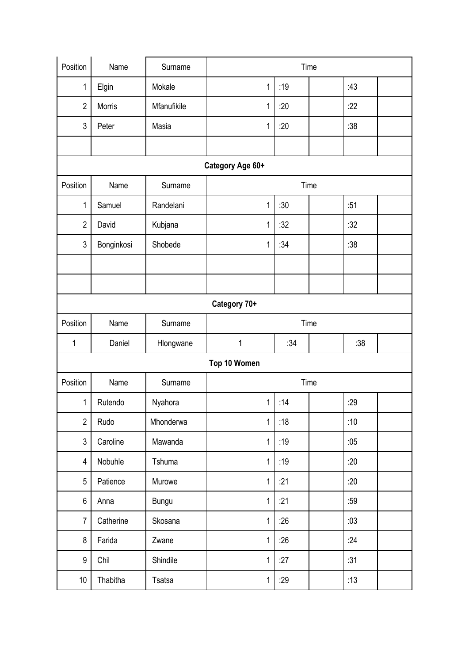| Position         | Name          | Surname      | Time         |     |  |     |  |  |
|------------------|---------------|--------------|--------------|-----|--|-----|--|--|
| 1                | Elgin         | Mokale       | 1            | :19 |  | :43 |  |  |
| $\overline{2}$   | <b>Morris</b> | Mfanufikile  | 1            | :20 |  | :22 |  |  |
| $\mathfrak{Z}$   | Peter         | Masia        | 1            | :20 |  | :38 |  |  |
|                  |               |              |              |     |  |     |  |  |
| Category Age 60+ |               |              |              |     |  |     |  |  |
| Position         | Name          | Surname      | Time         |     |  |     |  |  |
| 1                | Samuel        | Randelani    | 1            | :30 |  | :51 |  |  |
| $\overline{2}$   | David         | Kubjana      | 1            | :32 |  | :32 |  |  |
| $\mathfrak{Z}$   | Bonginkosi    | Shobede      | 1            | :34 |  | :38 |  |  |
|                  |               |              |              |     |  |     |  |  |
|                  |               |              |              |     |  |     |  |  |
| Category 70+     |               |              |              |     |  |     |  |  |
| Position         | Name          | Surname      | Time         |     |  |     |  |  |
| 1                | Daniel        | Hlongwane    | 1            | :34 |  | :38 |  |  |
| Top 10 Women     |               |              |              |     |  |     |  |  |
| Position         | Name          | Surname      | Time         |     |  |     |  |  |
| 1                | Rutendo       | Nyahora      | 1            | :14 |  | :29 |  |  |
| $\overline{2}$   | Rudo          | Mhonderwa    | $\mathbf 1$  | :18 |  | :10 |  |  |
| $\mathfrak{Z}$   | Caroline      | Mawanda      | $\mathbf{1}$ | :19 |  | :05 |  |  |
| $\overline{4}$   | Nobuhle       | Tshuma       | $\mathbf 1$  | :19 |  | :20 |  |  |
| $\sqrt{5}$       | Patience      | Murowe       | 1            | :21 |  | :20 |  |  |
| 6                | Anna          | <b>Bungu</b> | $\mathbf 1$  | :21 |  | :59 |  |  |
| $\overline{7}$   | Catherine     | Skosana      | 1            | :26 |  | :03 |  |  |
| 8                | Farida        | Zwane        | $\mathbf 1$  | :26 |  | :24 |  |  |
| 9                | Chil          | Shindile     | $\mathbf 1$  | :27 |  | :31 |  |  |
| 10               | Thabitha      | Tsatsa       | $\mathbf 1$  | :29 |  | :13 |  |  |